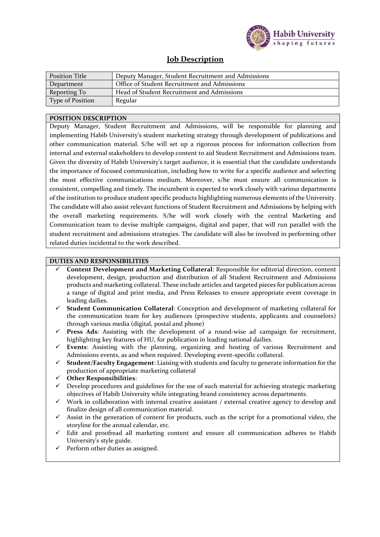

## **Job Description**

| <b>Position Title</b>   | Deputy Manager, Student Recruitment and Admissions |  |
|-------------------------|----------------------------------------------------|--|
| Department              | Office of Student Recruitment and Admissions       |  |
| Reporting To            | Head of Student Recruitment and Admissions         |  |
| <b>Type of Position</b> | Regular                                            |  |

## **POSITION DESCRIPTION**

Deputy Manager, Student Recruitment and Admissions, will be responsible for planning and implementing Habib University's student marketing strategy through development of publications and other communication material. S/he will set up a rigorous process for information collection from internal and external stakeholders to develop content to aid Student Recruitment and Admissions team. Given the diversity of Habib University's target audience, it is essential that the candidate understands the importance of focused communication, including how to write for a specific audience and selecting the most effective communications medium. Moreover, s/he must ensure all communication is consistent, compelling and timely. The incumbent is expected to work closely with various departments of the institution to produce student specific products highlighting numerous elements of the University. The candidate will also assist relevant functions of Student Recruitment and Admissions by helping with the overall marketing requirements. S/he will work closely with the central Marketing and Communication team to devise multiple campaigns, digital and paper, that will run parallel with the student recruitment and admissions strategies. The candidate will also be involved in performing other related duties incidental to the work described.

## **DUTIES AND RESPONSIBILITIES**

- ✓ **Content Development and Marketing Collateral**: Responsible for editorial direction, content development, design, production and distribution of all Student Recruitment and Admissions products and marketing collateral. These include articles and targeted pieces for publication across a range of digital and print media, and Press Releases to ensure appropriate event coverage in leading dailies.
- **Student Communication Collateral**: Conception and development of marketing collateral for the communication team for key audiences (prospective students, applicants and counselors) through various media (digital, postal and phone)
- ✓ **Press Ads**: Assisting with the development of a round-wise ad campaign for recruitment, highlighting key features of HU, for publication in leading national dailies.
- ✓ **Events**: Assisting with the planning, organizing and hosting of various Recruitment and Admissions events, as and when required. Developing event-specific collateral.
- **Student/Faculty Engagement:** Liaising with students and faculty to generate information for the production of appropriate marketing collateral
- ✓ **Other Responsibilities**:
- Develop procedures and guidelines for the use of such material for achieving strategic marketing objectives of Habib University while integrating brand consistency across departments.
- $\checkmark$  Work in collaboration with internal creative assistant / external creative agency to develop and finalize design of all communication material.
- $\checkmark$  Assist in the generation of content for products, such as the script for a promotional video, the storyline for the annual calendar, etc.
- Edit and proofread all marketing content and ensure all communication adheres to Habib University's style guide.
- $\checkmark$  Perform other duties as assigned.